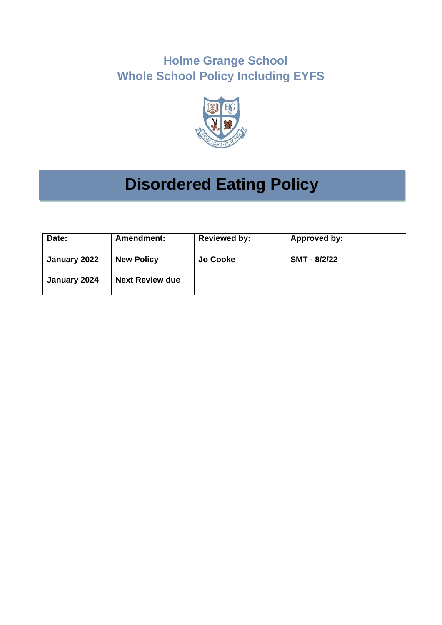# **Holme Grange School Whole School Policy Including EYFS**



# **Disordered Eating Policy**

| Date:        | <b>Amendment:</b>      | <b>Reviewed by:</b> | Approved by: |
|--------------|------------------------|---------------------|--------------|
| January 2022 | <b>New Policy</b>      | Jo Cooke            | SMT - 8/2/22 |
| January 2024 | <b>Next Review due</b> |                     |              |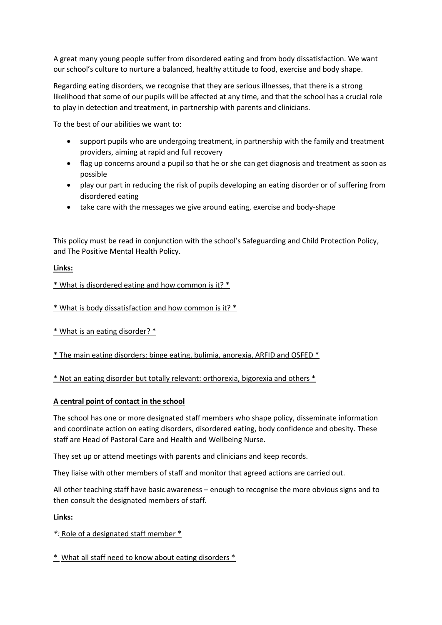A great many young people suffer from disordered eating and from body dissatisfaction. We want our school's culture to nurture a balanced, healthy attitude to food, exercise and body shape.

Regarding eating disorders, we recognise that they are serious illnesses, that there is a strong likelihood that some of our pupils will be affected at any time, and that the school has a crucial role to play in detection and treatment, in partnership with parents and clinicians.

To the best of our abilities we want to:

- support pupils who are undergoing treatment, in partnership with the family and treatment providers, aiming at rapid and full recovery
- flag up concerns around a pupil so that he or she can get diagnosis and treatment as soon as possible
- play our part in reducing the risk of pupils developing an eating disorder or of suffering from disordered eating
- take care with the messages we give around eating, exercise and body-shape

This policy must be read in conjunction with the school's Safeguarding and Child Protection Policy, and The Positive Mental Health Policy.

### **Links:**

[\\* What is disordered eating and how common is it? \\*](https://anorexiafamily.com/school-eating-disorder-body-confidence/?v=79cba1185463#disordered_eating)

[\\* What is body dissatisfaction and how common is it? \\*](https://anorexiafamily.com/school-eating-disorder-body-confidence/?v=79cba1185463#body_dissatisfaction)

[\\* What is an eating disorder? \\*](https://anorexiafamily.com/school-eating-disorder-body-confidence/?v=79cba1185463#whats_an_eatingdisorder)

[\\* The main eating disorders: binge eating, bulimia, anorexia, ARFID and OSFED \\*](https://anorexiafamily.com/classification-eating-disorders?v=79cba1185463)

\* [Not an eating disorder but totally relevant: orthorexia, bigorexia and others \\*](https://anorexiafamily.com/orthorexia-bigorexia-diabulimia?v=79cba1185463)

#### **A central point of contact in the school**

The school has one or more designated staff members who shape policy, disseminate information and coordinate action on eating disorders, disordered eating, body confidence and obesity. These staff are Head of Pastoral Care and Health and Wellbeing Nurse.

They set up or attend meetings with parents and clinicians and keep records.

They liaise with other members of staff and monitor that agreed actions are carried out.

All other teaching staff have basic awareness – enough to recognise the more obvious signs and to then consult the designated members of staff.

#### **Links:**

*\*:* [Role of a designated staff member \\*](https://anorexiafamily.com/team-school-parent-clinician-eating-disorder/?v=79cba1185463#designated)

\* [What all staff need to know about eating disorders \\*](https://anorexiafamily.com/pupils-school-staff-awareness-eating-disorder/?v=79cba1185463#staff_info)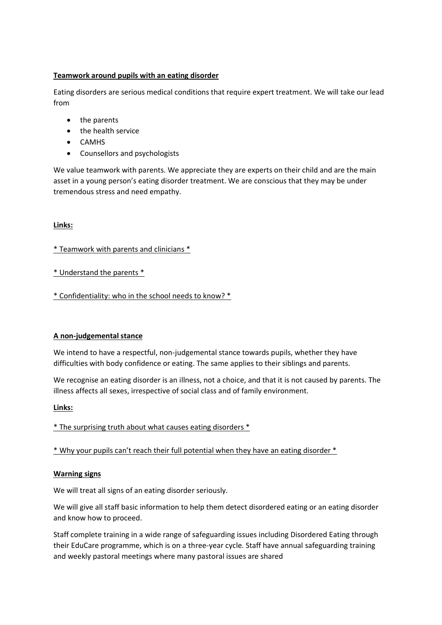# **Teamwork around pupils with an eating disorder**

Eating disorders are serious medical conditions that require expert treatment. We will take our lead from

- the parents
- the health service
- CAMHS
- Counsellors and psychologists

We value teamwork with parents. We appreciate they are experts on their child and are the main asset in a young person's eating disorder treatment. We are conscious that they may be under tremendous stress and need empathy.

#### **Links:**

#### [\\* Teamwork with parents and clinicians \\*](https://anorexiafamily.com/team-school-parent-clinician-eating-disorder/?v=79cba1185463#teamwork)

[\\* Understand the parents \\*](https://anorexiafamily.com/team-school-parent-clinician-eating-disorder/?v=79cba1185463#understand_parents)

[\\* Confidentiality: who in the school needs to know? \\*](https://anorexiafamily.com/team-school-parent-clinician-eating-disorder/?v=79cba1185463#confidentiality)

#### **A non-judgemental stance**

We intend to have a respectful, non-judgemental stance towards pupils, whether they have difficulties with body confidence or eating. The same applies to their siblings and parents.

We recognise an eating disorder is an illness, not a choice, and that it is not caused by parents. The illness affects all sexes, irrespective of social class and of family environment.

#### **Links:**

[\\* The surprising truth about what causes eating disorders \\*](https://anorexiafamily.com/school-eating-disorder-body-confidence/?v=79cba1185463#cause)

[\\* Why your pupils can't reach their full potenti](https://anorexiafamily.com/school-eating-disorder-body-confidence/?v=79cba1185463#potential)al when they have an eating disorder \*

#### **Warning signs**

We will treat all signs of an eating disorder seriously.

We will give all staff basic information to help them detect disordered eating or an eating disorder and know how to proceed.

Staff complete training in a wide range of safeguarding issues including Disordered Eating through their EduCare programme, which is on a three-year cycle. Staff have annual safeguarding training and weekly pastoral meetings where many pastoral issues are shared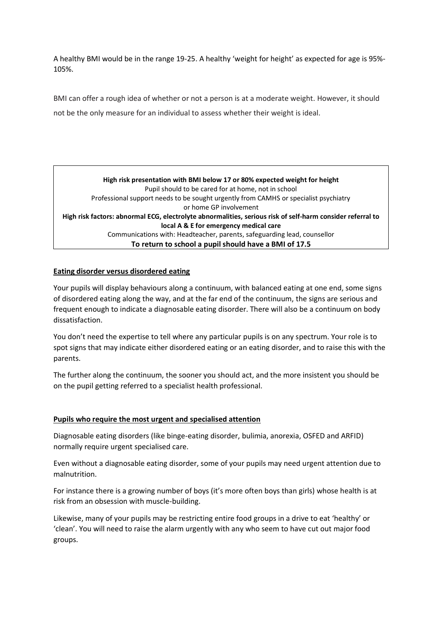A healthy BMI would be in the range 19-25. A healthy 'weight for height' as expected for age is 95%- 105%.

BMI can offer a rough idea of whether or not a person is at a moderate weight. However, it should not be the only measure for an individual to assess whether their weight is ideal.

**High risk presentation with BMI below 17 or 80% expected weight for height** Pupil should to be cared for at home, not in school Professional support needs to be sought urgently from CAMHS or specialist psychiatry or home GP involvement **High risk factors: abnormal ECG, electrolyte abnormalities, serious risk of self-harm consider referral to local A & E for emergency medical care** Communications with: Headteacher, parents, safeguarding lead, counsellor **To return to school a pupil should have a BMI of 17.5**

### **Eating disorder versus disordered eating**

Your pupils will display behaviours along a continuum, with balanced eating at one end, some signs of disordered eating along the way, and at the far end of the continuum, the signs are serious and frequent enough to indicate a diagnosable eating disorder. There will also be a continuum on body dissatisfaction.

You don't need the expertise to tell where any particular pupils is on any spectrum. Your role is to spot signs that may indicate either disordered eating or an eating disorder, and to raise this with the parents.

The further along the continuum, the sooner you should act, and the more insistent you should be on the pupil getting referred to a specialist health professional.

#### **Pupils who require the most urgent and specialised attention**

Diagnosable eating disorders (like binge-eating disorder, bulimia, anorexia, OSFED and ARFID) normally require urgent specialised care.

Even without a diagnosable eating disorder, some of your pupils may need urgent attention due to malnutrition.

For instance there is a growing number of boys (it's more often boys than girls) whose health is at risk from an obsession with muscle-building.

Likewise, many of your pupils may be restricting entire food groups in a drive to eat 'healthy' or 'clean'. You will need to raise the alarm urgently with any who seem to have cut out major food groups.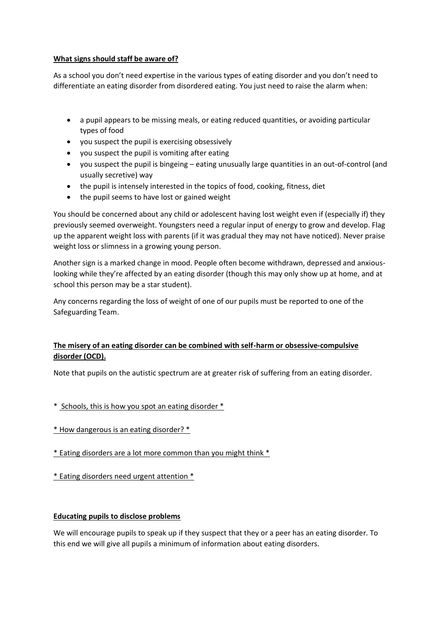### **What signs should staff be aware of?**

As a school you don't need expertise in the various types of eating disorder and you don't need to differentiate an eating disorder from disordered eating. You just need to raise the alarm when:

- a pupil appears to be missing meals, or eating reduced quantities, or avoiding particular types of food
- you suspect the pupil is exercising obsessively
- you suspect the pupil is vomiting after eating
- you suspect the pupil is bingeing eating unusually large quantities in an out-of-control (and usually secretive) way
- the pupil is intensely interested in the topics of food, cooking, fitness, diet
- the pupil seems to have lost or gained weight

You should be concerned about any child or adolescent having lost weight even if (especially if) they previously seemed overweight. Youngsters need a regular input of energy to grow and develop. Flag up the apparent weight loss with parents (if it was gradual they may not have noticed). Never praise weight loss or slimness in a growing young person.

Another sign is a marked change in mood. People often become withdrawn, depressed and anxiouslooking while they're affected by an eating disorder (though this may only show up at home, and at school this person may be a star student).

Any concerns regarding the loss of weight of one of our pupils must be reported to one of the Safeguarding Team.

# **The misery of an eating disorder can be combined with self-harm or obsessive-compulsive disorder (OCD).**

Note that pupils on the autistic spectrum are at greater risk of suffering from an eating disorder.

- \* [Schools, this is how you spot an eating disorder \\*](https://anorexiafamily.com/school-early-detection-eating-disorder?v=79cba1185463)
- [\\* How dangerous is an eating disorder? \\*](https://anorexiafamily.com/school-eating-disorder-body-confidence?v=79cba1185463)
- [\\* Eating disorders are a lot more common than you might think \\*](https://anorexiafamily.com/school-eating-disorder-body-confidence/?v=79cba1185463#common)
- [\\* Eating disorders need urgent attention \\*](https://anorexiafamily.com/school-eating-disorder-body-confidence/?v=79cba1185463#urgent)

# **Educating pupils to disclose problems**

We will encourage pupils to speak up if they suspect that they or a peer has an eating disorder. To this end we will give all pupils a minimum of information about eating disorders.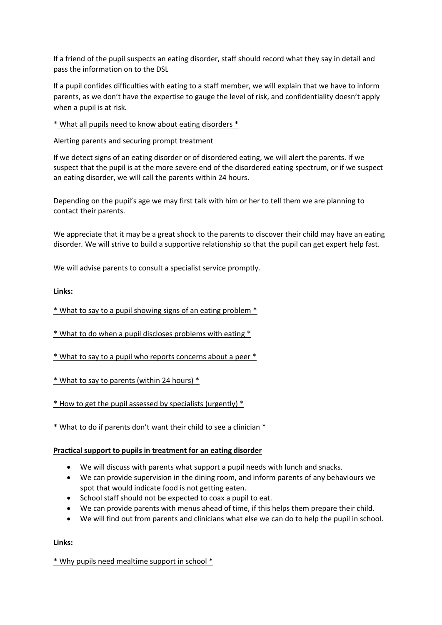If a friend of the pupil suspects an eating disorder, staff should record what they say in detail and pass the information on to the DSL

If a pupil confides difficulties with eating to a staff member, we will explain that we have to inform parents, as we don't have the expertise to gauge the level of risk, and confidentiality doesn't apply when a pupil is at risk.

\* [What all pupils need to know about eating disorders \\*](https://anorexiafamily.com/pupils-school-staff-awareness-eating-disorder/?v=79cba1185463#pupils_info)

Alerting parents and securing prompt treatment

If we detect signs of an eating disorder or of disordered eating, we will alert the parents. If we suspect that the pupil is at the more severe end of the disordered eating spectrum, or if we suspect an eating disorder, we will call the parents within 24 hours.

Depending on the pupil's age we may first talk with him or her to tell them we are planning to contact their parents.

We appreciate that it may be a great shock to the parents to discover their child may have an eating disorder. We will strive to build a supportive relationship so that the pupil can get expert help fast.

We will advise parents to consult a specialist service promptly.

**Links:**

[\\* What to say to a pupil showing signs of an eating problem \\*](https://anorexiafamily.com/schools-early-intervention-eating-disorder/?v=79cba1185463#talk_pupil)

[\\* What to do when a pupil discloses problems with eating \\*](https://anorexiafamily.com/schools-early-intervention-eating-disorder/?v=79cba1185463#pupil_disclose)

[\\* What to say to a pupil who reports concerns about a peer \\*](https://anorexiafamily.com/schools-early-intervention-eating-disorder/?v=79cba1185463#peer_report)

[\\* What to say to parents \(within 24 hours\) \\*](https://anorexiafamily.com/schools-early-intervention-eating-disorder/?v=79cba1185463#parent_alert)

[\\* How to get the pupil assessed by specialists \(urgently\) \\*](https://anorexiafamily.com/schools-early-intervention-eating-disorder/?v=79cba1185463#refer)

\* What to do if pa[rents don't want their child to see a clinician \\*](https://anorexiafamily.com/schools-early-intervention-eating-disorder/?v=79cba1185463#parent_refusal)

#### **Practical support to pupils in treatment for an eating disorder**

- We will discuss with parents what support a pupil needs with lunch and snacks.
- We can provide supervision in the dining room, and inform parents of any behaviours we spot that would indicate food is not getting eaten.
- School staff should not be expected to coax a pupil to eat.
- We can provide parents with menus ahead of time, if this helps them prepare their child.
- We will find out from parents and clinicians what else we can do to help the pupil in school.

**Links:**

[\\* Why pupils need mealtime support in school \\*](https://anorexiafamily.com/meals-anxiety-school-eating-disorder/?v=79cba1185463#why_school_meals)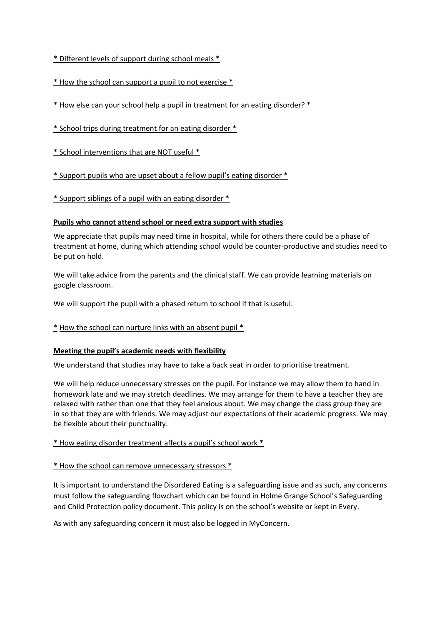[\\* Different levels of support during school meals \\*](https://anorexiafamily.com/meals-anxiety-school-eating-disorder/?v=79cba1185463#levels_school_meal)

[\\* How the school can support a pupil to not exercise \\*](https://anorexiafamily.com/meals-anxiety-school-eating-disorder/?v=79cba1185463#exercise_school)

[\\* How else can your school help a pupil in treatment for an eating disorder? \\*](https://anorexiafamily.com/meals-anxiety-school-eating-disorder/?v=79cba1185463#other_school_support)

[\\* School trips during treatment for an eating disorder \\*](https://anorexiafamily.com/meals-anxiety-school-eating-disorder/?v=79cba1185463#school_trip)

[\\* School interventions that are NOT useful \\*](https://anorexiafamily.com/meals-anxiety-school-eating-disorder/?v=79cba1185463#not_useful)

\* Support pupils who are upse[t about a fellow pupil's eating disorder \\*](https://anorexiafamily.com/pupils-school-staff-awareness-eating-disorder/?v=79cba1185463#upset_peers)

[\\* Support siblings of a pupil with an eating disorder \\*](https://anorexiafamily.com/meals-anxiety-school-eating-disorder/?v=79cba1185463#siblings)

#### **Pupils who cannot attend school or need extra support with studies**

We appreciate that pupils may need time in hospital, while for others there could be a phase of treatment at home, during which attending school would be counter-productive and studies need to be put on hold.

We will take advice from the parents and the clinical staff. We can provide learning materials on google classroom.

We will support the pupil with a phased return to school if that is useful.

#### \* [How the school can nurture links with an absent pupil \\*](https://anorexiafamily.com/meals-anxiety-school-eating-disorder/?v=79cba1185463#absent)

#### **Meeting the pupil's academic needs with flexibility**

We understand that studies may have to take a back seat in order to prioritise treatment.

We will help reduce unnecessary stresses on the pupil. For instance we may allow them to hand in homework late and we may stretch deadlines. We may arrange for them to have a teacher they are relaxed with rather than one that they feel anxious about. We may change the class group they are in so that they are with friends. We may adjust our expectations of their academic progress. We may be flexible about their punctuality.

#### [\\* How eating disorder treatment affects a pupil's school work \\*](https://anorexiafamily.com/meals-anxiety-school-eating-disorder/?v=79cba1185463#affect)

#### [\\* How the school can remove unnecessary stressors \\*](https://anorexiafamily.com/meals-anxiety-school-eating-disorder/?v=79cba1185463#stressors)

It is important to understand the Disordered Eating is a safeguarding issue and as such, any concerns must follow the safeguarding flowchart which can be found in Holme Grange School's Safeguarding and Child Protection policy document. This policy is on the school's website or kept in Every.

As with any safeguarding concern it must also be logged in MyConcern.